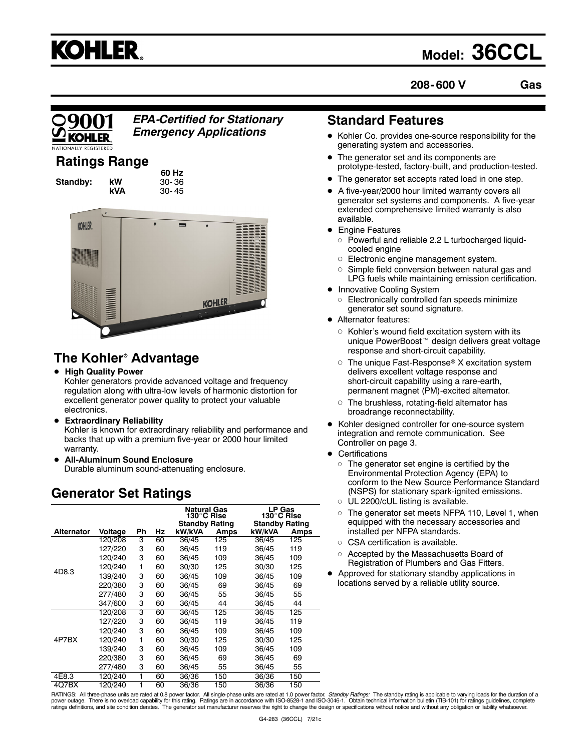

## **Model: 36CCL**

**208- 600 V Gas**



*EPA-Certified for Stationary Emergency Applications*

## **Ratings Range**

**Standby:** kW<br>kVA

**60 Hz kVA** 30- 45



## **The Kohler<sup>®</sup> Advantage**

**• High Quality Power** 

Kohler generators provide advanced voltage and frequency regulation along with ultra-low levels of harmonic distortion for excellent generator power quality to protect your valuable electronics.

- **Extraordinary Reliability** Kohler is known for extraordinary reliability and performance and backs that up with a premium five-year or 2000 hour limited warranty.
- **All-Aluminum Sound Enclosure** Durable aluminum sound-attenuating enclosure.

## **Generator Set Ratings**

|                   |         |    |    | Natural Gas<br>130°C Rise<br><b>Standby Rating</b> |      | <b>LP Gas</b><br>130°C Rise<br><b>Standby Rating</b> |      |
|-------------------|---------|----|----|----------------------------------------------------|------|------------------------------------------------------|------|
| <b>Alternator</b> | Voltage | Ph | Hz | kW/kVA                                             | Amps | kW/kVA                                               | Amps |
|                   | 120/208 | 3  | 60 | 36/45                                              | 125  | 36/45                                                | 125  |
|                   | 127/220 | 3  | 60 | 36/45                                              | 119  | 36/45                                                | 119  |
|                   | 120/240 | 3  | 60 | 36/45                                              | 109  | 36/45                                                | 109  |
|                   | 120/240 | 1  | 60 | 30/30                                              | 125  | 30/30                                                | 125  |
| 4D8.3             | 139/240 | 3  | 60 | 36/45                                              | 109  | 36/45                                                | 109  |
|                   | 220/380 | 3  | 60 | 36/45                                              | 69   | 36/45                                                | 69   |
|                   | 277/480 | 3  | 60 | 36/45                                              | 55   | 36/45                                                | 55   |
|                   | 347/600 | 3  | 60 | 36/45                                              | 44   | 36/45                                                | 44   |
|                   | 120/208 | 3  | 60 | 36/45                                              | 125  | 36/45                                                | 125  |
|                   | 127/220 | 3  | 60 | 36/45                                              | 119  | 36/45                                                | 119  |
|                   | 120/240 | 3  | 60 | 36/45                                              | 109  | 36/45                                                | 109  |
| 4P7BX             | 120/240 | 1  | 60 | 30/30                                              | 125  | 30/30                                                | 125  |
|                   | 139/240 | 3  | 60 | 36/45                                              | 109  | 36/45                                                | 109  |
|                   | 220/380 | 3  | 60 | 36/45                                              | 69   | 36/45                                                | 69   |
|                   | 277/480 | 3  | 60 | 36/45                                              | 55   | 36/45                                                | 55   |
| 4E8.3             | 120/240 | 1  | 60 | 36/36                                              | 150  | 36/36                                                | 150  |
| 4Q7BX             | 120/240 | 1  | 60 | 36/36                                              | 150  | 36/36                                                | 150  |

## **Standard Features**

- Kohler Co. provides one-source responsibility for the generating system and accessories.
- The generator set and its components are prototype-tested, factory-built, and production-tested.
- The generator set accepts rated load in one step.
- A five-year/2000 hour limited warranty covers all generator set systems and components. A five-year extended comprehensive limited warranty is also available.
- **Engine Features** 
	- $\circ$  Powerful and reliable 2.2 L turbocharged liquidcooled engine
	- o Electronic engine management system.
	- $\circ$  Simple field conversion between natural gas and LPG fuels while maintaining emission certification.
- Innovative Cooling System
	- $\circ$  Electronically controlled fan speeds minimize generator set sound signature.
- Alternator features:
	- $\circ$  Kohler's wound field excitation system with its unique PowerBoost<sup>™</sup> design delivers great voltage response and short-circuit capability.
	- $\circ$  The unique Fast-Response<sup>®</sup> X excitation system delivers excellent voltage response and short-circuit capability using a rare-earth, permanent magnet (PM)-excited alternator.
	- $\circ$  The brushless, rotating-field alternator has broadrange reconnectability.
- Kohler designed controller for one-source system integration and remote communication. See Controller on page 3.
- $\bullet$  Certifications
	- $\circ$  The generator set engine is certified by the Environmental Protection Agency (EPA) to conform to the New Source Performance Standard (NSPS) for stationary spark-ignited emissions.
	- o UL 2200/cUL listing is available.
	- $\circ$  The generator set meets NFPA 110, Level 1, when equipped with the necessary accessories and installed per NFPA standards.
	- $\circ$  CSA certification is available.
	- o Accepted by the Massachusetts Board of Registration of Plumbers and Gas Fitters.
- Approved for stationary standby applications in locations served by a reliable utility source.

RATINGS: All three-phase units are rated at 0.8 power factor. All single-phase units are rated at 1.0 power factor. *Standby Ratings:* The standby rating is applicable to varying loads for the duration of a<br>power outage. T ratings definitions, and site condition derates. The generator set manufacturer reserves the right to change the design or specifications without notice and without any obligation or liability whatsoever.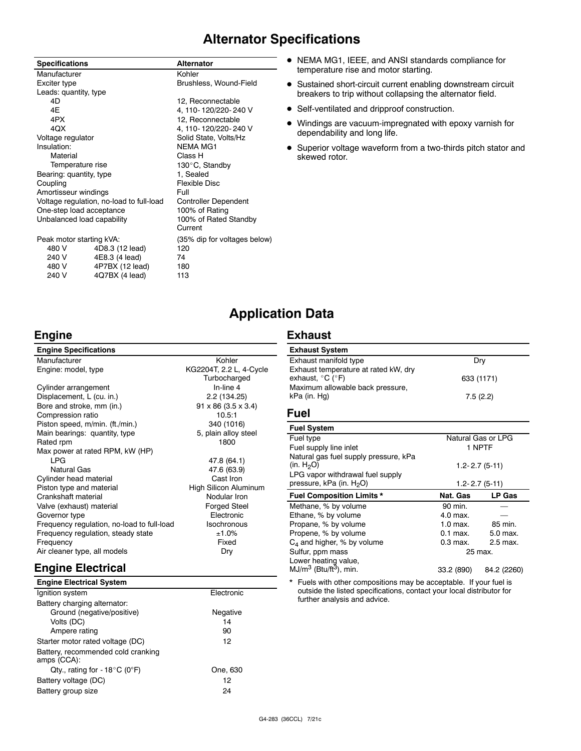## **Alternator Specifications**

| <b>Specifications</b>      |                                          | <b>Alternator</b>            |
|----------------------------|------------------------------------------|------------------------------|
| Manufacturer               |                                          | Kohler                       |
| Exciter type               |                                          | Brushless, Wound-Field       |
| Leads: quantity, type      |                                          |                              |
| 4D                         |                                          | 12, Reconnectable            |
| 4E                         |                                          | 4, 110-120/220-240 V         |
| 4PX                        |                                          | 12, Reconnectable            |
| 4QX                        |                                          | 4, 110-120/220-240 V         |
| Voltage regulator          |                                          | Solid State, Volts/Hz        |
| Insulation:                |                                          | <b>NEMA MG1</b>              |
| Material                   |                                          | Class H                      |
| Temperature rise           |                                          | 130°C, Standby               |
| Bearing: quantity, type    |                                          | 1, Sealed                    |
| Coupling                   |                                          | Flexible Disc                |
| Amortisseur windings       |                                          | Full                         |
|                            | Voltage regulation, no-load to full-load | <b>Controller Dependent</b>  |
|                            | One-step load acceptance                 | 100% of Rating               |
| Unbalanced load capability |                                          | 100% of Rated Standby        |
|                            |                                          | Current                      |
| Peak motor starting kVA:   |                                          | (35% dip for voltages below) |
| 480 V                      | 4D8.3 (12 lead)                          | 120                          |
| 240 V                      | 4E8.3 (4 lead)                           | 74                           |
| 480 V                      | 4P7BX (12 lead)                          | 180                          |
| 240 V                      | 4Q7BX (4 lead)                           | 113                          |

- NEMA MG1, IEEE, and ANSI standards compliance for temperature rise and motor starting.
- Sustained short-circuit current enabling downstream circuit breakers to trip without collapsing the alternator field.
- Self-ventilated and dripproof construction.
- $\bullet$  Windings are vacuum-impregnated with epoxy varnish for dependability and long life.
- Superior voltage waveform from a two-thirds pitch stator and skewed rotor.

## **Application Data**

## **Engine**

#### **Engine Specifications** Manufacturer **Kohler** Kohler Engine: model, type KG2204T, 2.2 L, 4-Cycle **Turbocharged** Cylinder arrangement In-line 4 Displacement, L (cu. in.) 2.2 (134.25) Bore and stroke, mm (in.) 91 x 86  $(3.5 \times 3.4)$ Compression ratio 10.5:1 Piston speed, m/min. (ft./min.) 340 (1016)<br>
Main bearings: quantity, type 5, plain alloy steel Main bearings: quantity, type Rated rpm 1800 Max power at rated RPM, kW (HP) LPG 47.8 (64.1) Natural Gas 47.6 (63.9) Cylinder head material Piston type and material **High Silicon Aluminum** Crankshaft material endows and the Modular Iron<br>Valve (exhaust) material endows and Forged Steel Valve (exhaust) material Governor type **Electronic**<br> **Electronic**<br> **Example:** Engineering the Electronic Frequency requlation, no-load to full-load Frequency regulation, no-load to full-load Isochronous<br>Frequency regulation, steady state  $\pm 1.0\%$ Frequency regulation, steady state  $\pm 1.0\%$ <br>Frequency Fixed Frequency Air cleaner type, all models Dry **Engine Electrical**

#### **Engine Electrical System** Ignition system Electronic Battery charging alternator: Ground (negative/positive) Negative Volts (DC) 14<br>Ampere rating 1990 1990 1990 1990 1990 1990 Ampere rating Starter motor rated voltage (DC) 12 Battery, recommended cold cranking amps (CCA): Qty., rating for -  $18^{\circ}$ C (0°F) One, 630 Battery voltage (DC) 12 Battery group size 24

## **Exhaust**

| <b>Exhaust System</b>                                                         |            |
|-------------------------------------------------------------------------------|------------|
| Exhaust manifold type                                                         | Drv        |
| Exhaust temperature at rated kW, dry<br>exhaust, $^{\circ}$ C ( $^{\circ}$ F) | 633 (1171) |
| Maximum allowable back pressure,<br>kPa (in. Hg)                              | 7.5(2.2)   |

#### **Fuel**

| <b>Fuel System</b>                    |                    |               |  |
|---------------------------------------|--------------------|---------------|--|
| Fuel type                             | Natural Gas or LPG |               |  |
| Fuel supply line inlet                | 1 NPTF             |               |  |
| Natural gas fuel supply pressure, kPa |                    |               |  |
| (in. $H_2O$ )                         | $1.2 - 2.7(5-11)$  |               |  |
| LPG vapor withdrawal fuel supply      |                    |               |  |
| pressure, kPa (in. H <sub>2</sub> O)  | $1.2 - 2.7(5-11)$  |               |  |
| <b>Fuel Composition Limits *</b>      | Nat. Gas           | <b>LP Gas</b> |  |
| Methane, % by volume                  | 90 min.            |               |  |
| Ethane, % by volume                   | 4.0 max.           |               |  |
| Propane, % by volume                  | $1.0$ max.         | 85 min.       |  |
| Propene, % by volume                  | $0.1$ max.         | $5.0$ max.    |  |
| $C_4$ and higher, % by volume         | $0.3$ max.         | 2.5 max.      |  |
| Sulfur, ppm mass                      | 25 max.            |               |  |
| Lower heating value,                  |                    |               |  |
| $MJ/m3$ (Btu/ft <sup>3</sup> ), min.  | 33.2 (890)         | 84.2 (2260)   |  |

Fuels with other compositions may be acceptable. If your fuel is outside the listed specifications, contact your local distributor for further analysis and advice.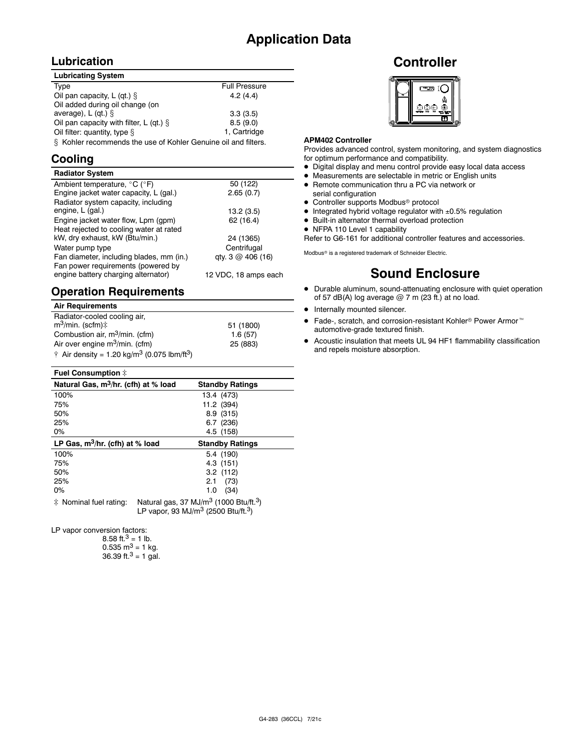## **Application Data**

## **Lubrication**

| <b>Lubricating System</b>                                                           |                      |
|-------------------------------------------------------------------------------------|----------------------|
| Type                                                                                | <b>Full Pressure</b> |
| Oil pan capacity, L (qt.) $\S$                                                      | 4.2(4.4)             |
| Oil added during oil change (on                                                     |                      |
| average), $L$ (gt.) $\S$                                                            | 3.3(3.5)             |
| Oil pan capacity with filter, L (qt.) $\S$                                          | 8.5(9.0)             |
| Oil filter: quantity, type §                                                        | 1. Cartridge         |
| 0 - IZalel e u personan en de Alexandre e Al IZalel en Oran durar e de en al Altene |                      |

 $\S$  Kohler recommends the use of Kohler Genuine oil and filters.

## **Cooling**

| <b>Radiator System</b>                                                    |                              |
|---------------------------------------------------------------------------|------------------------------|
| Ambient temperature, $^{\circ}$ C ( $^{\circ}$ F)                         | 50 (122)                     |
| Engine jacket water capacity, L (gal.)                                    | 2.65(0.7)                    |
| Radiator system capacity, including                                       |                              |
| engine, L (gal.)                                                          | 13.2(3.5)                    |
| Engine jacket water flow, Lpm (gpm)                                       | 62 (16.4)                    |
| Heat rejected to cooling water at rated                                   |                              |
| kW, dry exhaust, kW (Btu/min.)                                            | 24 (1365)                    |
| Water pump type                                                           | Centrifugal                  |
| Fan diameter, including blades, mm (in.)                                  | qty. $3 \text{ } @$ 406 (16) |
| Fan power requirements (powered by<br>engine battery charging alternator) | 12 VDC, 18 amps each         |

## **Operation Requirements**

| <b>Air Requirements</b>                                                     |           |
|-----------------------------------------------------------------------------|-----------|
| Radiator-cooled cooling air,                                                |           |
| $m^3$ /min. (scfm) $\ddagger$                                               | 51 (1800) |
| Combustion air, m <sup>3</sup> /min. (cfm)                                  | 1.6(57)   |
| Air over engine m <sup>3</sup> /min. (cfm)                                  | 25 (883)  |
| $\dagger$ Air density = 1.20 kg/m <sup>3</sup> (0.075 lbm/ft <sup>3</sup> ) |           |

#### **Fuel Consumption**  $\ddagger$

| Natural Gas, m <sup>3</sup> /hr. (cfh) at % load | <b>Standby Ratings</b> |  |
|--------------------------------------------------|------------------------|--|
| 100%                                             | 13.4 (473)             |  |
| 75%                                              | 11.2 (394)             |  |
| 50%                                              | 8.9(315)               |  |
| 25%                                              | 6.7(236)               |  |
| 0%                                               | 4.5 (158)              |  |
| LP Gas, $m^3/hr$ . (cfh) at % load               | <b>Standby Ratings</b> |  |
|                                                  |                        |  |
| 100%                                             | 5.4 (190)              |  |
| 75%                                              | 4.3 (151)              |  |
| 50%                                              | $3.2$ (112)            |  |
| 25%                                              | 2.1<br>(73)            |  |
| $0\%$                                            | (34)<br>1.0            |  |

 $\ddagger$  Nominal fuel rating: Natural gas, 37 MJ/m<sup>3</sup> (1000 Btu/ft.<sup>3</sup>) LP vapor, 93 MJ/m3 (2500 Btu/ft.3)

LP vapor conversion factors:

8.58 ft. $3 = 1$  lb.  $0.535 \text{ m}^3 = 1 \text{ kg}.$ 36.39 ft. $3 = 1$  gal.

## **Controller**



#### **APM402 Controller**

Provides advanced control, system monitoring, and system diagnostics for optimum performance and compatibility.

- $\bullet$  Digital display and menu control provide easy local data access
- $\bullet$  Measurements are selectable in metric or English units
- Remote communication thru a PC via network or serial configuration
- Controller supports Modbus<sup>®</sup> protocol
- $\bullet$  Integrated hybrid voltage regulator with  $\pm 0.5\%$  regulation
- $\bullet$  Built-in alternator thermal overload protection
- NFPA 110 Level 1 capability

Refer to G6-161 for additional controller features and accessories.

Modbus<sup>®</sup> is a registered trademark of Schneider Electric.

## **Sound Enclosure**

- $\bullet$  Durable aluminum, sound-attenuating enclosure with quiet operation of 57 dB(A) log average  $@$  7 m (23 ft.) at no load.
- $\bullet$  Internally mounted silencer.
- $\bullet$  Fade-, scratch, and corrosion-resistant Kohler<sup>®</sup> Power Armor<sup>™</sup> automotive-grade textured finish.
- $\bullet$  Acoustic insulation that meets UL 94 HF1 flammability classification and repels moisture absorption.